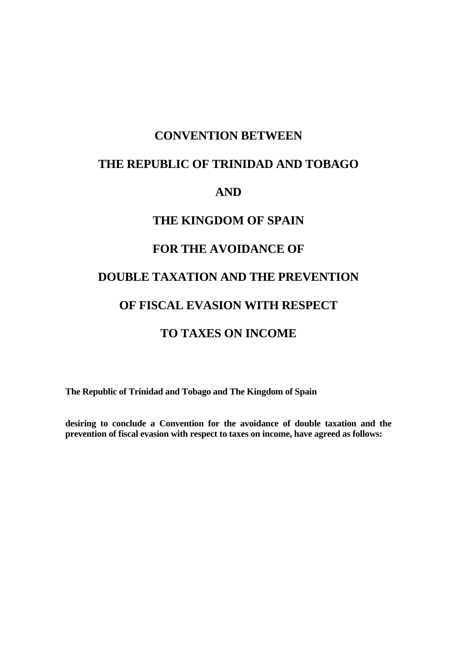# **CONVENTION BETWEEN THE REPUBLIC OF TRINIDAD AND TOBAGO AND THE KINGDOM OF SPAIN FOR THE AVOIDANCE OF DOUBLE TAXATION AND THE PREVENTION OF FISCAL EVASION WITH RESPECT TO TAXES ON INCOME**

**The Republic of Trinidad and Tobago and The Kingdom of Spain** 

**desiring to conclude a Convention for the avoidance of double taxation and the prevention of fiscal evasion with respect to taxes on income, have agreed as follows:**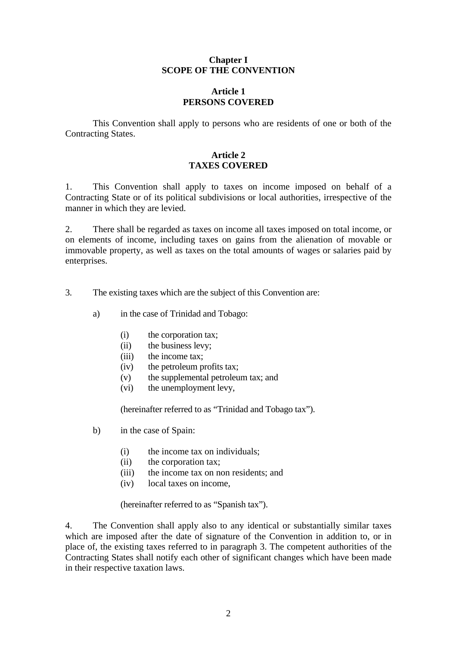#### **Chapter I SCOPE OF THE CONVENTION**

#### **Article 1 PERSONS COVERED**

 This Convention shall apply to persons who are residents of one or both of the Contracting States.

#### **Article 2 TAXES COVERED**

1. This Convention shall apply to taxes on income imposed on behalf of a Contracting State or of its political subdivisions or local authorities, irrespective of the manner in which they are levied.

2. There shall be regarded as taxes on income all taxes imposed on total income, or on elements of income, including taxes on gains from the alienation of movable or immovable property, as well as taxes on the total amounts of wages or salaries paid by enterprises.

3. The existing taxes which are the subject of this Convention are:

- a) in the case of Trinidad and Tobago:
	- (i) the corporation tax;
	- (ii) the business levy;
	- (iii) the income tax;
	- (iv) the petroleum profits tax;
	- (v) the supplemental petroleum tax; and
	- (vi) the unemployment levy,

(hereinafter referred to as "Trinidad and Tobago tax").

- b) in the case of Spain:
	- (i) the income tax on individuals;
	- (ii) the corporation tax;
	- (iii) the income tax on non residents; and
	- (iv) local taxes on income,

(hereinafter referred to as "Spanish tax").

4. The Convention shall apply also to any identical or substantially similar taxes which are imposed after the date of signature of the Convention in addition to, or in place of, the existing taxes referred to in paragraph 3. The competent authorities of the Contracting States shall notify each other of significant changes which have been made in their respective taxation laws.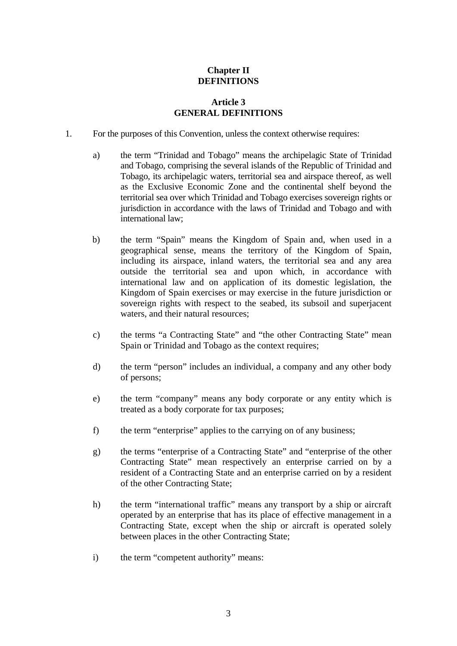## **Chapter II DEFINITIONS**

### **Article 3 GENERAL DEFINITIONS**

- 1. For the purposes of this Convention, unless the context otherwise requires:
	- a) the term "Trinidad and Tobago" means the archipelagic State of Trinidad and Tobago, comprising the several islands of the Republic of Trinidad and Tobago, its archipelagic waters, territorial sea and airspace thereof, as well as the Exclusive Economic Zone and the continental shelf beyond the territorial sea over which Trinidad and Tobago exercises sovereign rights or jurisdiction in accordance with the laws of Trinidad and Tobago and with international law;
	- b) the term "Spain" means the Kingdom of Spain and, when used in a geographical sense, means the territory of the Kingdom of Spain, including its airspace, inland waters, the territorial sea and any area outside the territorial sea and upon which, in accordance with international law and on application of its domestic legislation, the Kingdom of Spain exercises or may exercise in the future jurisdiction or sovereign rights with respect to the seabed, its subsoil and superjacent waters, and their natural resources;
	- c) the terms "a Contracting State" and "the other Contracting State" mean Spain or Trinidad and Tobago as the context requires;
	- d) the term "person" includes an individual, a company and any other body of persons;
	- e) the term "company" means any body corporate or any entity which is treated as a body corporate for tax purposes;
	- f) the term "enterprise" applies to the carrying on of any business;
	- g) the terms "enterprise of a Contracting State" and "enterprise of the other Contracting State" mean respectively an enterprise carried on by a resident of a Contracting State and an enterprise carried on by a resident of the other Contracting State;
	- h) the term "international traffic" means any transport by a ship or aircraft operated by an enterprise that has its place of effective management in a Contracting State, except when the ship or aircraft is operated solely between places in the other Contracting State;
	- i) the term "competent authority" means: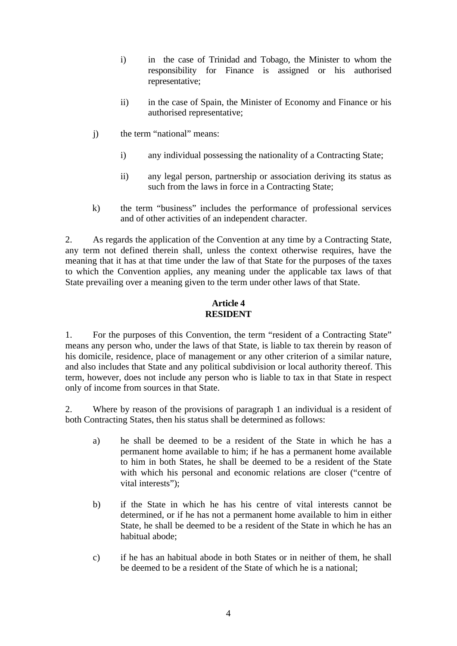- i) in the case of Trinidad and Tobago, the Minister to whom the responsibility for Finance is assigned or his authorised representative;
- ii) in the case of Spain, the Minister of Economy and Finance or his authorised representative;
- j) the term "national" means:
	- i) any individual possessing the nationality of a Contracting State;
	- ii) any legal person, partnership or association deriving its status as such from the laws in force in a Contracting State;
- k) the term "business" includes the performance of professional services and of other activities of an independent character.

2. As regards the application of the Convention at any time by a Contracting State, any term not defined therein shall, unless the context otherwise requires, have the meaning that it has at that time under the law of that State for the purposes of the taxes to which the Convention applies, any meaning under the applicable tax laws of that State prevailing over a meaning given to the term under other laws of that State.

## **Article 4 RESIDENT**

1. For the purposes of this Convention, the term "resident of a Contracting State" means any person who, under the laws of that State, is liable to tax therein by reason of his domicile, residence, place of management or any other criterion of a similar nature, and also includes that State and any political subdivision or local authority thereof. This term, however, does not include any person who is liable to tax in that State in respect only of income from sources in that State.

2. Where by reason of the provisions of paragraph 1 an individual is a resident of both Contracting States, then his status shall be determined as follows:

- a) he shall be deemed to be a resident of the State in which he has a permanent home available to him; if he has a permanent home available to him in both States, he shall be deemed to be a resident of the State with which his personal and economic relations are closer ("centre of vital interests");
- b) if the State in which he has his centre of vital interests cannot be determined, or if he has not a permanent home available to him in either State, he shall be deemed to be a resident of the State in which he has an habitual abode;
- c) if he has an habitual abode in both States or in neither of them, he shall be deemed to be a resident of the State of which he is a national;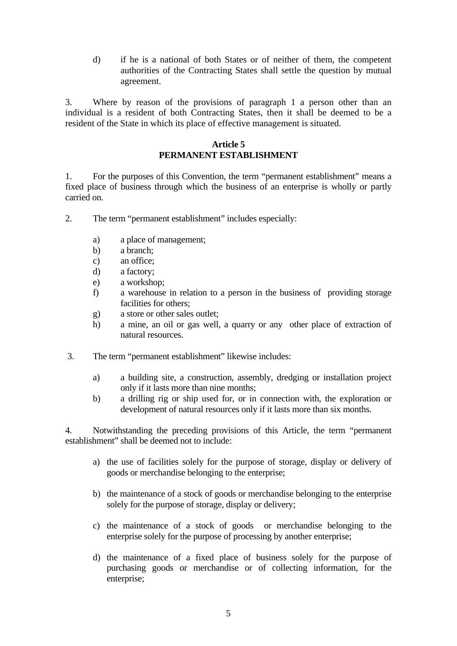d) if he is a national of both States or of neither of them, the competent authorities of the Contracting States shall settle the question by mutual agreement.

3. Where by reason of the provisions of paragraph 1 a person other than an individual is a resident of both Contracting States, then it shall be deemed to be a resident of the State in which its place of effective management is situated.

### **Article 5 PERMANENT ESTABLISHMENT**

1. For the purposes of this Convention, the term "permanent establishment" means a fixed place of business through which the business of an enterprise is wholly or partly carried on.

- 2. The term "permanent establishment" includes especially:
	- a) a place of management;
	- b) a branch;
	- c) an office;
	- d) a factory;
	- e) a workshop;
	- f) a warehouse in relation to a person in the business of providing storage facilities for others:
	- g) a store or other sales outlet;
	- h) a mine, an oil or gas well, a quarry or any other place of extraction of natural resources.
- 3. The term "permanent establishment" likewise includes:
	- a) a building site, a construction, assembly, dredging or installation project only if it lasts more than nine months;
	- b) a drilling rig or ship used for, or in connection with, the exploration or development of natural resources only if it lasts more than six months.

4. Notwithstanding the preceding provisions of this Article, the term "permanent establishment" shall be deemed not to include:

- a) the use of facilities solely for the purpose of storage, display or delivery of goods or merchandise belonging to the enterprise;
- b) the maintenance of a stock of goods or merchandise belonging to the enterprise solely for the purpose of storage, display or delivery;
- c) the maintenance of a stock of goods or merchandise belonging to the enterprise solely for the purpose of processing by another enterprise;
- d) the maintenance of a fixed place of business solely for the purpose of purchasing goods or merchandise or of collecting information, for the enterprise;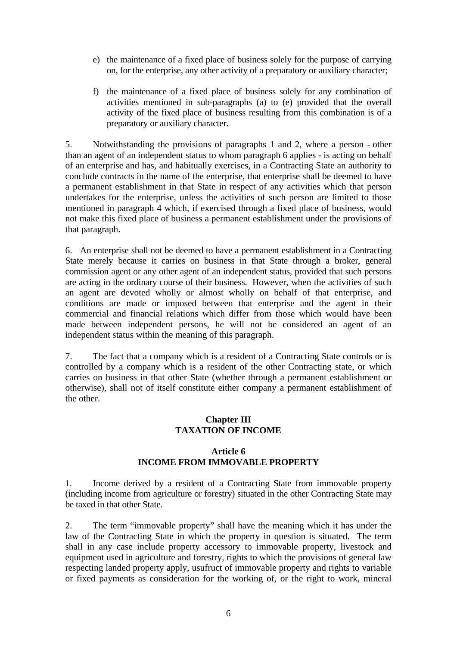- e) the maintenance of a fixed place of business solely for the purpose of carrying on, for the enterprise, any other activity of a preparatory or auxiliary character;
- f) the maintenance of a fixed place of business solely for any combination of activities mentioned in sub-paragraphs (a) to (e) provided that the overall activity of the fixed place of business resulting from this combination is of a preparatory or auxiliary character.

5. Notwithstanding the provisions of paragraphs 1 and 2, where a person - other than an agent of an independent status to whom paragraph 6 applies - is acting on behalf of an enterprise and has, and habitually exercises, in a Contracting State an authority to conclude contracts in the name of the enterprise, that enterprise shall be deemed to have a permanent establishment in that State in respect of any activities which that person undertakes for the enterprise, unless the activities of such person are limited to those mentioned in paragraph 4 which, if exercised through a fixed place of business, would not make this fixed place of business a permanent establishment under the provisions of that paragraph.

6. An enterprise shall not be deemed to have a permanent establishment in a Contracting State merely because it carries on business in that State through a broker, general commission agent or any other agent of an independent status, provided that such persons are acting in the ordinary course of their business. However, when the activities of such an agent are devoted wholly or almost wholly on behalf of that enterprise, and conditions are made or imposed between that enterprise and the agent in their commercial and financial relations which differ from those which would have been made between independent persons, he will not be considered an agent of an independent status within the meaning of this paragraph.

7. The fact that a company which is a resident of a Contracting State controls or is controlled by a company which is a resident of the other Contracting state, or which carries on business in that other State (whether through a permanent establishment or otherwise), shall not of itself constitute either company a permanent establishment of the other.

#### **Chapter III TAXATION OF INCOME**

# **Article 6 INCOME FROM IMMOVABLE PROPERTY**

1. Income derived by a resident of a Contracting State from immovable property (including income from agriculture or forestry) situated in the other Contracting State may be taxed in that other State.

2. The term "immovable property" shall have the meaning which it has under the law of the Contracting State in which the property in question is situated. The term shall in any case include property accessory to immovable property, livestock and equipment used in agriculture and forestry, rights to which the provisions of general law respecting landed property apply, usufruct of immovable property and rights to variable or fixed payments as consideration for the working of, or the right to work, mineral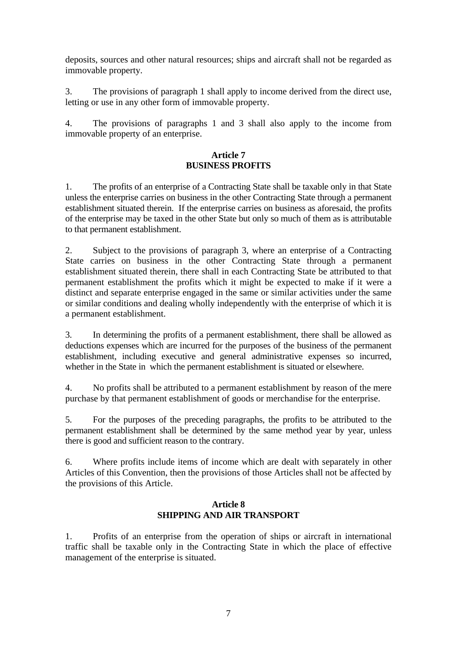deposits, sources and other natural resources; ships and aircraft shall not be regarded as immovable property.

3. The provisions of paragraph 1 shall apply to income derived from the direct use, letting or use in any other form of immovable property.

4. The provisions of paragraphs 1 and 3 shall also apply to the income from immovable property of an enterprise.

#### **Article 7 BUSINESS PROFITS**

1. The profits of an enterprise of a Contracting State shall be taxable only in that State unless the enterprise carries on business in the other Contracting State through a permanent establishment situated therein. If the enterprise carries on business as aforesaid, the profits of the enterprise may be taxed in the other State but only so much of them as is attributable to that permanent establishment.

2. Subject to the provisions of paragraph 3, where an enterprise of a Contracting State carries on business in the other Contracting State through a permanent establishment situated therein, there shall in each Contracting State be attributed to that permanent establishment the profits which it might be expected to make if it were a distinct and separate enterprise engaged in the same or similar activities under the same or similar conditions and dealing wholly independently with the enterprise of which it is a permanent establishment.

3. In determining the profits of a permanent establishment, there shall be allowed as deductions expenses which are incurred for the purposes of the business of the permanent establishment, including executive and general administrative expenses so incurred, whether in the State in which the permanent establishment is situated or elsewhere.

4. No profits shall be attributed to a permanent establishment by reason of the mere purchase by that permanent establishment of goods or merchandise for the enterprise.

5. For the purposes of the preceding paragraphs, the profits to be attributed to the permanent establishment shall be determined by the same method year by year, unless there is good and sufficient reason to the contrary.

6. Where profits include items of income which are dealt with separately in other Articles of this Convention, then the provisions of those Articles shall not be affected by the provisions of this Article.

#### **Article 8 SHIPPING AND AIR TRANSPORT**

1. Profits of an enterprise from the operation of ships or aircraft in international traffic shall be taxable only in the Contracting State in which the place of effective management of the enterprise is situated.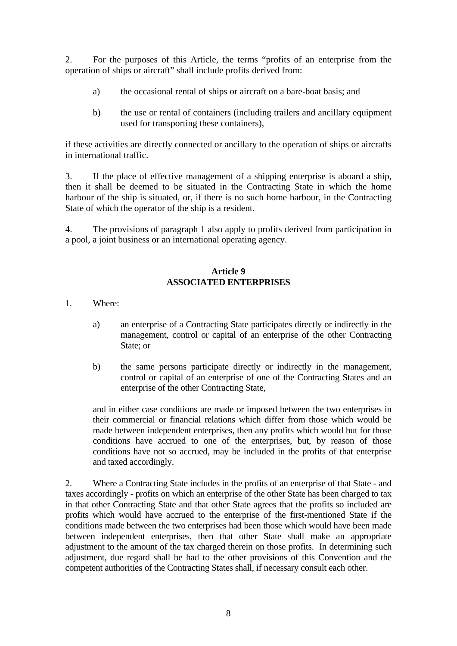2. For the purposes of this Article, the terms "profits of an enterprise from the operation of ships or aircraft" shall include profits derived from:

- a) the occasional rental of ships or aircraft on a bare-boat basis; and
- b) the use or rental of containers (including trailers and ancillary equipment used for transporting these containers),

if these activities are directly connected or ancillary to the operation of ships or aircrafts in international traffic.

3. If the place of effective management of a shipping enterprise is aboard a ship, then it shall be deemed to be situated in the Contracting State in which the home harbour of the ship is situated, or, if there is no such home harbour, in the Contracting State of which the operator of the ship is a resident.

4. The provisions of paragraph 1 also apply to profits derived from participation in a pool, a joint business or an international operating agency.

# **Article 9 ASSOCIATED ENTERPRISES**

1. Where:

- a) an enterprise of a Contracting State participates directly or indirectly in the management, control or capital of an enterprise of the other Contracting State; or
- b) the same persons participate directly or indirectly in the management, control or capital of an enterprise of one of the Contracting States and an enterprise of the other Contracting State,

 and in either case conditions are made or imposed between the two enterprises in their commercial or financial relations which differ from those which would be made between independent enterprises, then any profits which would but for those conditions have accrued to one of the enterprises, but, by reason of those conditions have not so accrued, may be included in the profits of that enterprise and taxed accordingly.

2. Where a Contracting State includes in the profits of an enterprise of that State - and taxes accordingly - profits on which an enterprise of the other State has been charged to tax in that other Contracting State and that other State agrees that the profits so included are profits which would have accrued to the enterprise of the first-mentioned State if the conditions made between the two enterprises had been those which would have been made between independent enterprises, then that other State shall make an appropriate adjustment to the amount of the tax charged therein on those profits. In determining such adjustment, due regard shall be had to the other provisions of this Convention and the competent authorities of the Contracting States shall, if necessary consult each other.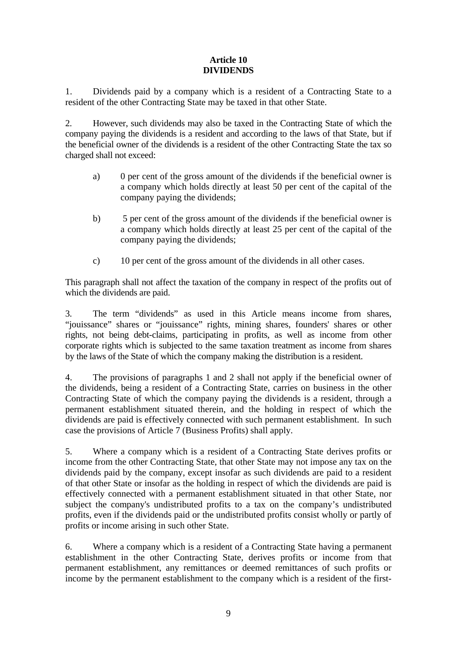# **Article 10 DIVIDENDS**

1. Dividends paid by a company which is a resident of a Contracting State to a resident of the other Contracting State may be taxed in that other State.

2. However, such dividends may also be taxed in the Contracting State of which the company paying the dividends is a resident and according to the laws of that State, but if the beneficial owner of the dividends is a resident of the other Contracting State the tax so charged shall not exceed:

- a) 0 per cent of the gross amount of the dividends if the beneficial owner is a company which holds directly at least 50 per cent of the capital of the company paying the dividends;
- b) 5 per cent of the gross amount of the dividends if the beneficial owner is a company which holds directly at least 25 per cent of the capital of the company paying the dividends;
- c) 10 per cent of the gross amount of the dividends in all other cases.

This paragraph shall not affect the taxation of the company in respect of the profits out of which the dividends are paid.

3. The term "dividends" as used in this Article means income from shares, "jouissance" shares or "jouissance" rights, mining shares, founders' shares or other rights, not being debt-claims, participating in profits, as well as income from other corporate rights which is subjected to the same taxation treatment as income from shares by the laws of the State of which the company making the distribution is a resident.

4. The provisions of paragraphs 1 and 2 shall not apply if the beneficial owner of the dividends, being a resident of a Contracting State, carries on business in the other Contracting State of which the company paying the dividends is a resident, through a permanent establishment situated therein, and the holding in respect of which the dividends are paid is effectively connected with such permanent establishment. In such case the provisions of Article 7 (Business Profits) shall apply.

5. Where a company which is a resident of a Contracting State derives profits or income from the other Contracting State, that other State may not impose any tax on the dividends paid by the company, except insofar as such dividends are paid to a resident of that other State or insofar as the holding in respect of which the dividends are paid is effectively connected with a permanent establishment situated in that other State, nor subject the company's undistributed profits to a tax on the company's undistributed profits, even if the dividends paid or the undistributed profits consist wholly or partly of profits or income arising in such other State.

6. Where a company which is a resident of a Contracting State having a permanent establishment in the other Contracting State, derives profits or income from that permanent establishment, any remittances or deemed remittances of such profits or income by the permanent establishment to the company which is a resident of the first-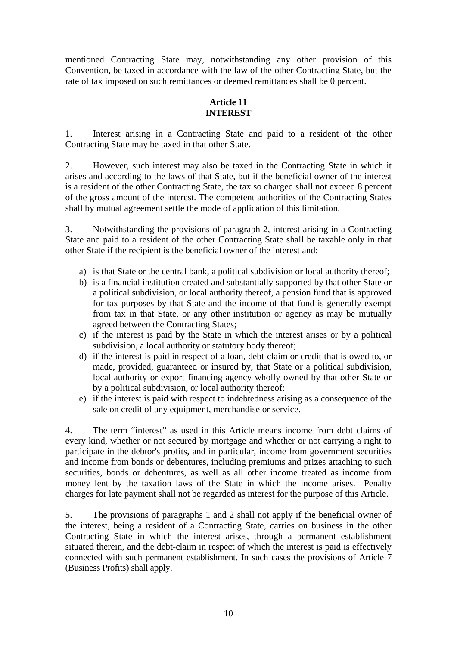mentioned Contracting State may, notwithstanding any other provision of this Convention, be taxed in accordance with the law of the other Contracting State, but the rate of tax imposed on such remittances or deemed remittances shall be 0 percent.

## **Article 11 INTEREST**

1. Interest arising in a Contracting State and paid to a resident of the other Contracting State may be taxed in that other State.

2. However, such interest may also be taxed in the Contracting State in which it arises and according to the laws of that State, but if the beneficial owner of the interest is a resident of the other Contracting State, the tax so charged shall not exceed 8 percent of the gross amount of the interest. The competent authorities of the Contracting States shall by mutual agreement settle the mode of application of this limitation.

3. Notwithstanding the provisions of paragraph 2, interest arising in a Contracting State and paid to a resident of the other Contracting State shall be taxable only in that other State if the recipient is the beneficial owner of the interest and:

- a) is that State or the central bank, a political subdivision or local authority thereof;
- b) is a financial institution created and substantially supported by that other State or a political subdivision, or local authority thereof, a pension fund that is approved for tax purposes by that State and the income of that fund is generally exempt from tax in that State, or any other institution or agency as may be mutually agreed between the Contracting States;
- c) if the interest is paid by the State in which the interest arises or by a political subdivision, a local authority or statutory body thereof;
- d) if the interest is paid in respect of a loan, debt-claim or credit that is owed to, or made, provided, guaranteed or insured by, that State or a political subdivision, local authority or export financing agency wholly owned by that other State or by a political subdivision, or local authority thereof;
- e) if the interest is paid with respect to indebtedness arising as a consequence of the sale on credit of any equipment, merchandise or service.

4. The term "interest" as used in this Article means income from debt claims of every kind, whether or not secured by mortgage and whether or not carrying a right to participate in the debtor's profits, and in particular, income from government securities and income from bonds or debentures, including premiums and prizes attaching to such securities, bonds or debentures, as well as all other income treated as income from money lent by the taxation laws of the State in which the income arises. Penalty charges for late payment shall not be regarded as interest for the purpose of this Article.

5. The provisions of paragraphs 1 and 2 shall not apply if the beneficial owner of the interest, being a resident of a Contracting State, carries on business in the other Contracting State in which the interest arises, through a permanent establishment situated therein, and the debt-claim in respect of which the interest is paid is effectively connected with such permanent establishment. In such cases the provisions of Article 7 (Business Profits) shall apply.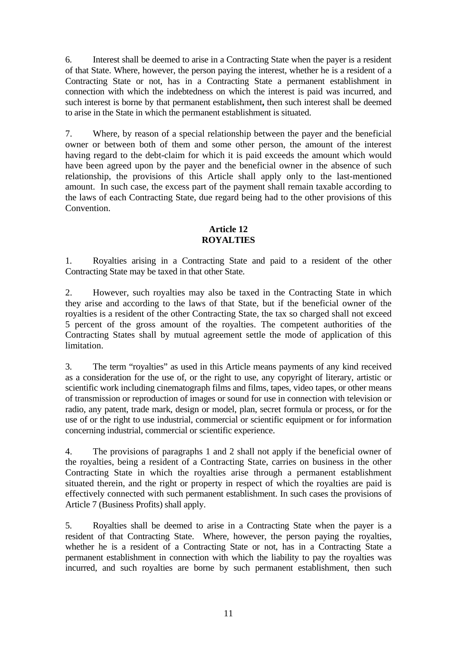6. Interest shall be deemed to arise in a Contracting State when the payer is a resident of that State. Where, however, the person paying the interest, whether he is a resident of a Contracting State or not, has in a Contracting State a permanent establishment in connection with which the indebtedness on which the interest is paid was incurred, and such interest is borne by that permanent establishment**,** then such interest shall be deemed to arise in the State in which the permanent establishment is situated.

7. Where, by reason of a special relationship between the payer and the beneficial owner or between both of them and some other person, the amount of the interest having regard to the debt-claim for which it is paid exceeds the amount which would have been agreed upon by the payer and the beneficial owner in the absence of such relationship, the provisions of this Article shall apply only to the last-mentioned amount. In such case, the excess part of the payment shall remain taxable according to the laws of each Contracting State, due regard being had to the other provisions of this Convention.

## **Article 12 ROYALTIES**

1. Royalties arising in a Contracting State and paid to a resident of the other Contracting State may be taxed in that other State.

2. However, such royalties may also be taxed in the Contracting State in which they arise and according to the laws of that State, but if the beneficial owner of the royalties is a resident of the other Contracting State, the tax so charged shall not exceed 5 percent of the gross amount of the royalties. The competent authorities of the Contracting States shall by mutual agreement settle the mode of application of this limitation.

3. The term "royalties" as used in this Article means payments of any kind received as a consideration for the use of, or the right to use, any copyright of literary, artistic or scientific work including cinematograph films and films, tapes, video tapes, or other means of transmission or reproduction of images or sound for use in connection with television or radio, any patent, trade mark, design or model, plan, secret formula or process, or for the use of or the right to use industrial, commercial or scientific equipment or for information concerning industrial, commercial or scientific experience.

4. The provisions of paragraphs 1 and 2 shall not apply if the beneficial owner of the royalties, being a resident of a Contracting State, carries on business in the other Contracting State in which the royalties arise through a permanent establishment situated therein, and the right or property in respect of which the royalties are paid is effectively connected with such permanent establishment. In such cases the provisions of Article 7 (Business Profits) shall apply.

5. Royalties shall be deemed to arise in a Contracting State when the payer is a resident of that Contracting State. Where, however, the person paying the royalties, whether he is a resident of a Contracting State or not, has in a Contracting State a permanent establishment in connection with which the liability to pay the royalties was incurred, and such royalties are borne by such permanent establishment, then such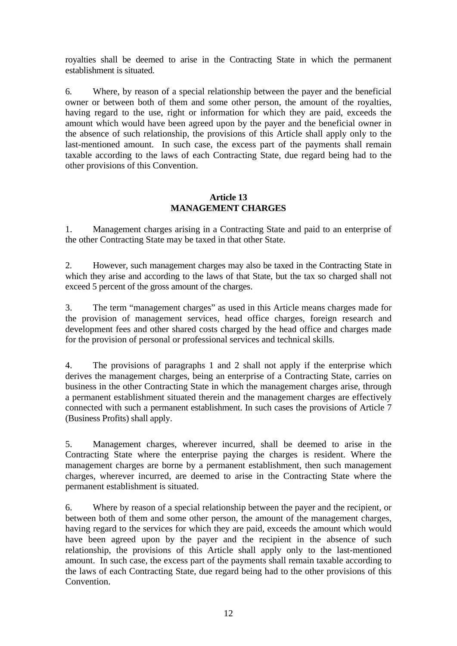royalties shall be deemed to arise in the Contracting State in which the permanent establishment is situated.

6. Where, by reason of a special relationship between the payer and the beneficial owner or between both of them and some other person, the amount of the royalties, having regard to the use, right or information for which they are paid, exceeds the amount which would have been agreed upon by the payer and the beneficial owner in the absence of such relationship, the provisions of this Article shall apply only to the last-mentioned amount. In such case, the excess part of the payments shall remain taxable according to the laws of each Contracting State, due regard being had to the other provisions of this Convention.

#### **Article 13 MANAGEMENT CHARGES**

1. Management charges arising in a Contracting State and paid to an enterprise of the other Contracting State may be taxed in that other State.

2. However, such management charges may also be taxed in the Contracting State in which they arise and according to the laws of that State, but the tax so charged shall not exceed 5 percent of the gross amount of the charges.

3. The term "management charges" as used in this Article means charges made for the provision of management services, head office charges, foreign research and development fees and other shared costs charged by the head office and charges made for the provision of personal or professional services and technical skills.

4. The provisions of paragraphs 1 and 2 shall not apply if the enterprise which derives the management charges, being an enterprise of a Contracting State, carries on business in the other Contracting State in which the management charges arise, through a permanent establishment situated therein and the management charges are effectively connected with such a permanent establishment. In such cases the provisions of Article 7 (Business Profits) shall apply.

5. Management charges, wherever incurred, shall be deemed to arise in the Contracting State where the enterprise paying the charges is resident. Where the management charges are borne by a permanent establishment, then such management charges, wherever incurred, are deemed to arise in the Contracting State where the permanent establishment is situated.

6. Where by reason of a special relationship between the payer and the recipient, or between both of them and some other person, the amount of the management charges, having regard to the services for which they are paid, exceeds the amount which would have been agreed upon by the payer and the recipient in the absence of such relationship, the provisions of this Article shall apply only to the last-mentioned amount. In such case, the excess part of the payments shall remain taxable according to the laws of each Contracting State, due regard being had to the other provisions of this Convention.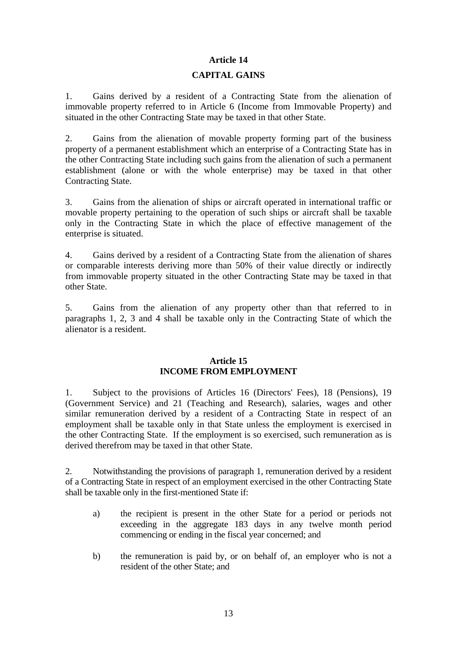### **Article 14**

#### **CAPITAL GAINS**

1. Gains derived by a resident of a Contracting State from the alienation of immovable property referred to in Article 6 (Income from Immovable Property) and situated in the other Contracting State may be taxed in that other State.

2. Gains from the alienation of movable property forming part of the business property of a permanent establishment which an enterprise of a Contracting State has in the other Contracting State including such gains from the alienation of such a permanent establishment (alone or with the whole enterprise) may be taxed in that other Contracting State.

3. Gains from the alienation of ships or aircraft operated in international traffic or movable property pertaining to the operation of such ships or aircraft shall be taxable only in the Contracting State in which the place of effective management of the enterprise is situated.

4. Gains derived by a resident of a Contracting State from the alienation of shares or comparable interests deriving more than 50% of their value directly or indirectly from immovable property situated in the other Contracting State may be taxed in that other State.

5. Gains from the alienation of any property other than that referred to in paragraphs 1, 2, 3 and 4 shall be taxable only in the Contracting State of which the alienator is a resident.

#### **Article 15 INCOME FROM EMPLOYMENT**

1. Subject to the provisions of Articles 16 (Directors' Fees), 18 (Pensions), 19 (Government Service) and 21 (Teaching and Research), salaries, wages and other similar remuneration derived by a resident of a Contracting State in respect of an employment shall be taxable only in that State unless the employment is exercised in the other Contracting State. If the employment is so exercised, such remuneration as is derived therefrom may be taxed in that other State.

2. Notwithstanding the provisions of paragraph 1, remuneration derived by a resident of a Contracting State in respect of an employment exercised in the other Contracting State shall be taxable only in the first-mentioned State if:

- a) the recipient is present in the other State for a period or periods not exceeding in the aggregate 183 days in any twelve month period commencing or ending in the fiscal year concerned; and
- b) the remuneration is paid by, or on behalf of, an employer who is not a resident of the other State; and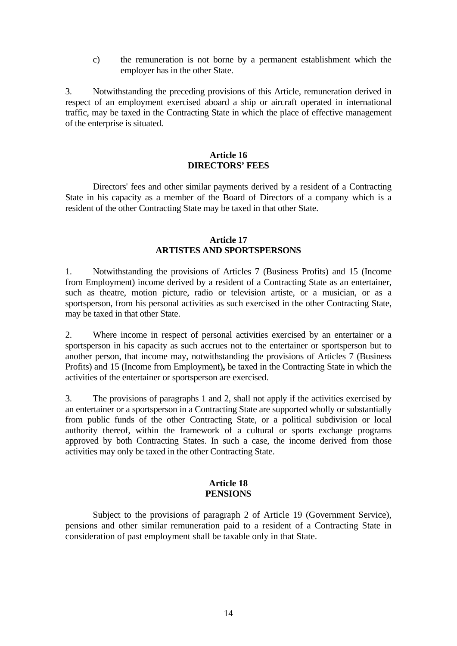c) the remuneration is not borne by a permanent establishment which the employer has in the other State.

3. Notwithstanding the preceding provisions of this Article, remuneration derived in respect of an employment exercised aboard a ship or aircraft operated in international traffic, may be taxed in the Contracting State in which the place of effective management of the enterprise is situated.

#### **Article 16 DIRECTORS' FEES**

 Directors' fees and other similar payments derived by a resident of a Contracting State in his capacity as a member of the Board of Directors of a company which is a resident of the other Contracting State may be taxed in that other State.

#### **Article 17 ARTISTES AND SPORTSPERSONS**

1. Notwithstanding the provisions of Articles 7 (Business Profits) and 15 (Income from Employment) income derived by a resident of a Contracting State as an entertainer, such as theatre, motion picture, radio or television artiste, or a musician, or as a sportsperson, from his personal activities as such exercised in the other Contracting State, may be taxed in that other State.

2. Where income in respect of personal activities exercised by an entertainer or a sportsperson in his capacity as such accrues not to the entertainer or sportsperson but to another person, that income may, notwithstanding the provisions of Articles 7 (Business Profits) and 15 (Income from Employment)**,** be taxed in the Contracting State in which the activities of the entertainer or sportsperson are exercised.

3. The provisions of paragraphs 1 and 2, shall not apply if the activities exercised by an entertainer or a sportsperson in a Contracting State are supported wholly or substantially from public funds of the other Contracting State, or a political subdivision or local authority thereof, within the framework of a cultural or sports exchange programs approved by both Contracting States. In such a case, the income derived from those activities may only be taxed in the other Contracting State.

#### **Article 18 PENSIONS**

Subject to the provisions of paragraph 2 of Article 19 (Government Service), pensions and other similar remuneration paid to a resident of a Contracting State in consideration of past employment shall be taxable only in that State.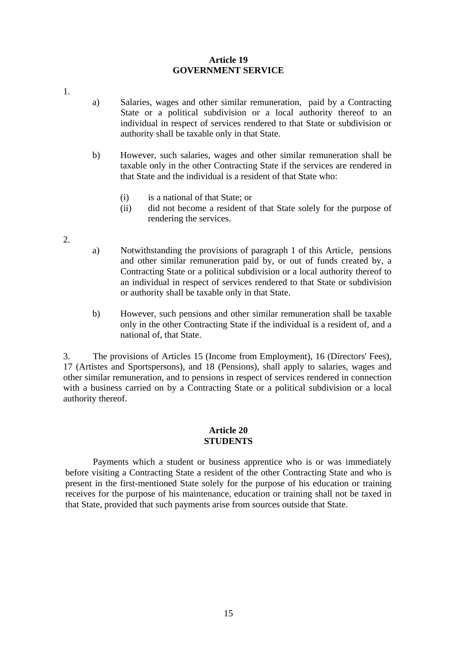#### **Article 19 GOVERNMENT SERVICE**

1.

2.

a) Salaries, wages and other similar remuneration, paid by a Contracting State or a political subdivision or a local authority thereof to an individual in respect of services rendered to that State or subdivision or authority shall be taxable only in that State.

- b) However, such salaries, wages and other similar remuneration shall be taxable only in the other Contracting State if the services are rendered in that State and the individual is a resident of that State who:
	- (i) is a national of that State; or
	- (ii) did not become a resident of that State solely for the purpose of rendering the services.
- a) Notwithstanding the provisions of paragraph 1 of this Article, pensions and other similar remuneration paid by, or out of funds created by, a Contracting State or a political subdivision or a local authority thereof to an individual in respect of services rendered to that State or subdivision or authority shall be taxable only in that State.
- b) However, such pensions and other similar remuneration shall be taxable only in the other Contracting State if the individual is a resident of, and a national of, that State.

3. The provisions of Articles 15 (Income from Employment), 16 (Directors' Fees), 17 (Artistes and Sportspersons), and 18 (Pensions), shall apply to salaries, wages and other similar remuneration, and to pensions in respect of services rendered in connection with a business carried on by a Contracting State or a political subdivision or a local authority thereof.

#### **Article 20 STUDENTS**

Payments which a student or business apprentice who is or was immediately before visiting a Contracting State a resident of the other Contracting State and who is present in the first-mentioned State solely for the purpose of his education or training receives for the purpose of his maintenance, education or training shall not be taxed in that State, provided that such payments arise from sources outside that State.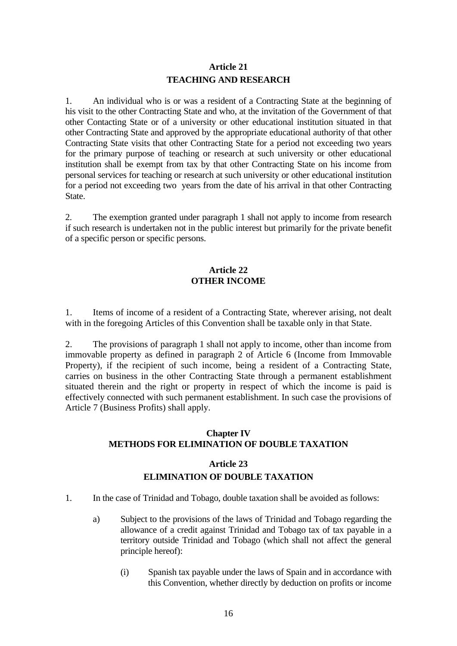# **Article 21 TEACHING AND RESEARCH**

1. An individual who is or was a resident of a Contracting State at the beginning of his visit to the other Contracting State and who, at the invitation of the Government of that other Contacting State or of a university or other educational institution situated in that other Contracting State and approved by the appropriate educational authority of that other Contracting State visits that other Contracting State for a period not exceeding two years for the primary purpose of teaching or research at such university or other educational institution shall be exempt from tax by that other Contracting State on his income from personal services for teaching or research at such university or other educational institution for a period not exceeding two years from the date of his arrival in that other Contracting State.

2. The exemption granted under paragraph 1 shall not apply to income from research if such research is undertaken not in the public interest but primarily for the private benefit of a specific person or specific persons.

## **Article 22 OTHER INCOME**

1. Items of income of a resident of a Contracting State, wherever arising, not dealt with in the foregoing Articles of this Convention shall be taxable only in that State.

2. The provisions of paragraph 1 shall not apply to income, other than income from immovable property as defined in paragraph 2 of Article 6 (Income from Immovable Property), if the recipient of such income, being a resident of a Contracting State, carries on business in the other Contracting State through a permanent establishment situated therein and the right or property in respect of which the income is paid is effectively connected with such permanent establishment. In such case the provisions of Article 7 (Business Profits) shall apply.

# **Chapter IV METHODS FOR ELIMINATION OF DOUBLE TAXATION**

# **Article 23 ELIMINATION OF DOUBLE TAXATION**

- 1. In the case of Trinidad and Tobago, double taxation shall be avoided as follows:
	- a) Subject to the provisions of the laws of Trinidad and Tobago regarding the allowance of a credit against Trinidad and Tobago tax of tax payable in a territory outside Trinidad and Tobago (which shall not affect the general principle hereof):
		- (i) Spanish tax payable under the laws of Spain and in accordance with this Convention, whether directly by deduction on profits or income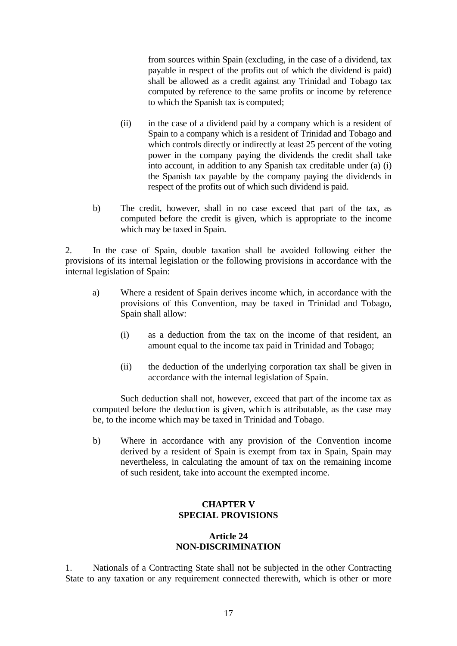from sources within Spain (excluding, in the case of a dividend, tax payable in respect of the profits out of which the dividend is paid) shall be allowed as a credit against any Trinidad and Tobago tax computed by reference to the same profits or income by reference to which the Spanish tax is computed;

- (ii) in the case of a dividend paid by a company which is a resident of Spain to a company which is a resident of Trinidad and Tobago and which controls directly or indirectly at least 25 percent of the voting power in the company paying the dividends the credit shall take into account, in addition to any Spanish tax creditable under (a) (i) the Spanish tax payable by the company paying the dividends in respect of the profits out of which such dividend is paid.
- b) The credit, however, shall in no case exceed that part of the tax, as computed before the credit is given, which is appropriate to the income which may be taxed in Spain.

2. In the case of Spain, double taxation shall be avoided following either the provisions of its internal legislation or the following provisions in accordance with the internal legislation of Spain:

- a) Where a resident of Spain derives income which, in accordance with the provisions of this Convention, may be taxed in Trinidad and Tobago, Spain shall allow:
	- (i) as a deduction from the tax on the income of that resident, an amount equal to the income tax paid in Trinidad and Tobago;
	- (ii) the deduction of the underlying corporation tax shall be given in accordance with the internal legislation of Spain.

Such deduction shall not, however, exceed that part of the income tax as computed before the deduction is given, which is attributable, as the case may be, to the income which may be taxed in Trinidad and Tobago.

b) Where in accordance with any provision of the Convention income derived by a resident of Spain is exempt from tax in Spain, Spain may nevertheless, in calculating the amount of tax on the remaining income of such resident, take into account the exempted income.

# **CHAPTER V SPECIAL PROVISIONS**

# **Article 24 NON-DISCRIMINATION**

1. Nationals of a Contracting State shall not be subjected in the other Contracting State to any taxation or any requirement connected therewith, which is other or more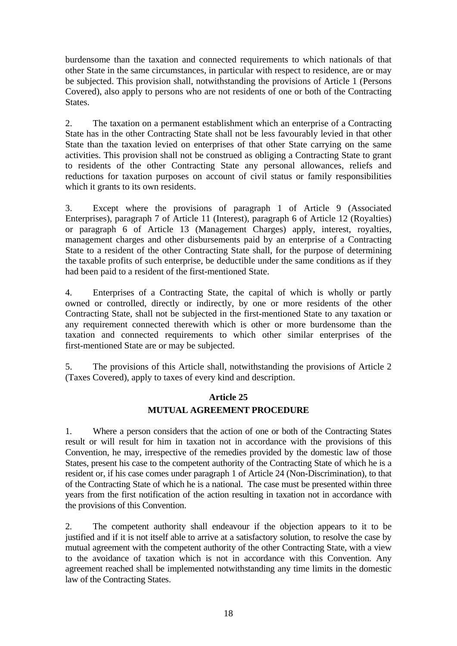burdensome than the taxation and connected requirements to which nationals of that other State in the same circumstances, in particular with respect to residence, are or may be subjected. This provision shall, notwithstanding the provisions of Article 1 (Persons Covered), also apply to persons who are not residents of one or both of the Contracting States.

2. The taxation on a permanent establishment which an enterprise of a Contracting State has in the other Contracting State shall not be less favourably levied in that other State than the taxation levied on enterprises of that other State carrying on the same activities. This provision shall not be construed as obliging a Contracting State to grant to residents of the other Contracting State any personal allowances, reliefs and reductions for taxation purposes on account of civil status or family responsibilities which it grants to its own residents.

3. Except where the provisions of paragraph 1 of Article 9 (Associated Enterprises), paragraph 7 of Article 11 (Interest), paragraph 6 of Article 12 (Royalties) or paragraph 6 of Article 13 (Management Charges) apply, interest, royalties, management charges and other disbursements paid by an enterprise of a Contracting State to a resident of the other Contracting State shall, for the purpose of determining the taxable profits of such enterprise, be deductible under the same conditions as if they had been paid to a resident of the first-mentioned State.

4. Enterprises of a Contracting State, the capital of which is wholly or partly owned or controlled, directly or indirectly, by one or more residents of the other Contracting State, shall not be subjected in the first-mentioned State to any taxation or any requirement connected therewith which is other or more burdensome than the taxation and connected requirements to which other similar enterprises of the first-mentioned State are or may be subjected.

5. The provisions of this Article shall, notwithstanding the provisions of Article 2 (Taxes Covered), apply to taxes of every kind and description.

# **Article 25 MUTUAL AGREEMENT PROCEDURE**

1. Where a person considers that the action of one or both of the Contracting States result or will result for him in taxation not in accordance with the provisions of this Convention, he may, irrespective of the remedies provided by the domestic law of those States, present his case to the competent authority of the Contracting State of which he is a resident or, if his case comes under paragraph 1 of Article 24 (Non-Discrimination), to that of the Contracting State of which he is a national. The case must be presented within three years from the first notification of the action resulting in taxation not in accordance with the provisions of this Convention.

2. The competent authority shall endeavour if the objection appears to it to be justified and if it is not itself able to arrive at a satisfactory solution, to resolve the case by mutual agreement with the competent authority of the other Contracting State, with a view to the avoidance of taxation which is not in accordance with this Convention. Any agreement reached shall be implemented notwithstanding any time limits in the domestic law of the Contracting States.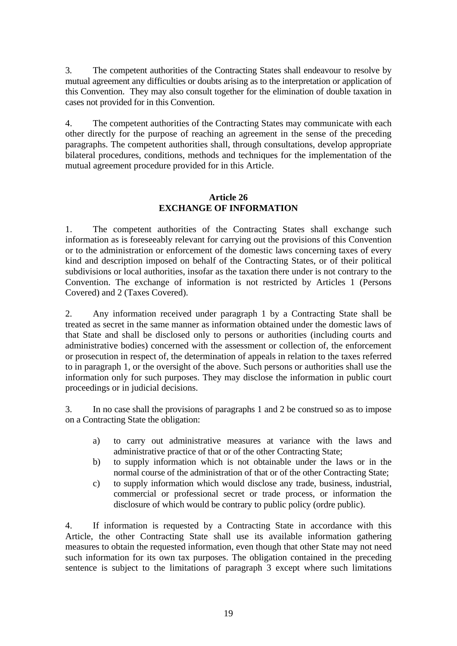3. The competent authorities of the Contracting States shall endeavour to resolve by mutual agreement any difficulties or doubts arising as to the interpretation or application of this Convention. They may also consult together for the elimination of double taxation in cases not provided for in this Convention.

4. The competent authorities of the Contracting States may communicate with each other directly for the purpose of reaching an agreement in the sense of the preceding paragraphs. The competent authorities shall, through consultations, develop appropriate bilateral procedures, conditions, methods and techniques for the implementation of the mutual agreement procedure provided for in this Article.

#### **Article 26 EXCHANGE OF INFORMATION**

1. The competent authorities of the Contracting States shall exchange such information as is foreseeably relevant for carrying out the provisions of this Convention or to the administration or enforcement of the domestic laws concerning taxes of every kind and description imposed on behalf of the Contracting States, or of their political subdivisions or local authorities, insofar as the taxation there under is not contrary to the Convention. The exchange of information is not restricted by Articles 1 (Persons Covered) and 2 (Taxes Covered).

2. Any information received under paragraph 1 by a Contracting State shall be treated as secret in the same manner as information obtained under the domestic laws of that State and shall be disclosed only to persons or authorities (including courts and administrative bodies) concerned with the assessment or collection of, the enforcement or prosecution in respect of, the determination of appeals in relation to the taxes referred to in paragraph 1, or the oversight of the above. Such persons or authorities shall use the information only for such purposes. They may disclose the information in public court proceedings or in judicial decisions.

3. In no case shall the provisions of paragraphs 1 and 2 be construed so as to impose on a Contracting State the obligation:

- a) to carry out administrative measures at variance with the laws and administrative practice of that or of the other Contracting State;
- b) to supply information which is not obtainable under the laws or in the normal course of the administration of that or of the other Contracting State;
- c) to supply information which would disclose any trade, business, industrial, commercial or professional secret or trade process, or information the disclosure of which would be contrary to public policy (ordre public).

4. If information is requested by a Contracting State in accordance with this Article, the other Contracting State shall use its available information gathering measures to obtain the requested information, even though that other State may not need such information for its own tax purposes. The obligation contained in the preceding sentence is subject to the limitations of paragraph 3 except where such limitations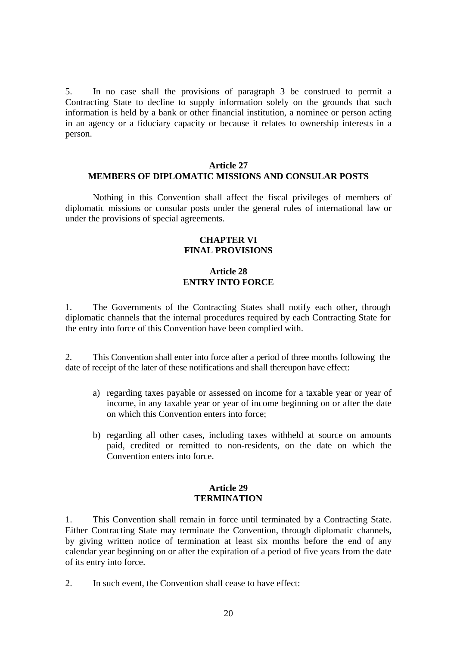5. In no case shall the provisions of paragraph 3 be construed to permit a Contracting State to decline to supply information solely on the grounds that such information is held by a bank or other financial institution, a nominee or person acting in an agency or a fiduciary capacity or because it relates to ownership interests in a person.

#### **Article 27 MEMBERS OF DIPLOMATIC MISSIONS AND CONSULAR POSTS**

Nothing in this Convention shall affect the fiscal privileges of members of diplomatic missions or consular posts under the general rules of international law or under the provisions of special agreements.

# **CHAPTER VI FINAL PROVISIONS**

# **Article 28 ENTRY INTO FORCE**

1. The Governments of the Contracting States shall notify each other, through diplomatic channels that the internal procedures required by each Contracting State for the entry into force of this Convention have been complied with.

2. This Convention shall enter into force after a period of three months following the date of receipt of the later of these notifications and shall thereupon have effect:

- a) regarding taxes payable or assessed on income for a taxable year or year of income, in any taxable year or year of income beginning on or after the date on which this Convention enters into force;
- b) regarding all other cases, including taxes withheld at source on amounts paid, credited or remitted to non-residents, on the date on which the Convention enters into force.

#### **Article 29 TERMINATION**

1. This Convention shall remain in force until terminated by a Contracting State. Either Contracting State may terminate the Convention, through diplomatic channels, by giving written notice of termination at least six months before the end of any calendar year beginning on or after the expiration of a period of five years from the date of its entry into force.

2. In such event, the Convention shall cease to have effect: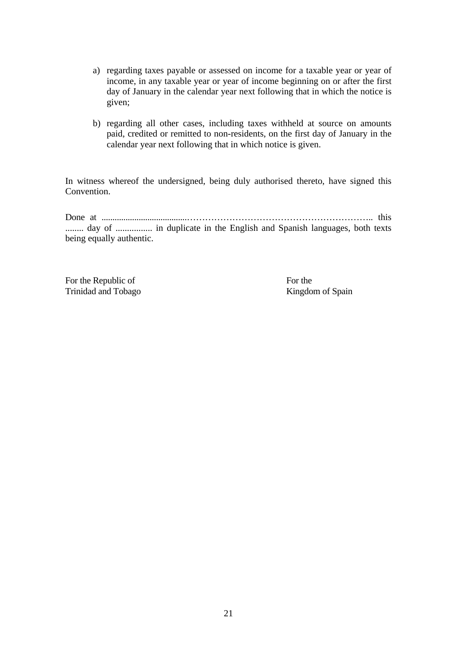- a) regarding taxes payable or assessed on income for a taxable year or year of income, in any taxable year or year of income beginning on or after the first day of January in the calendar year next following that in which the notice is given;
- b) regarding all other cases, including taxes withheld at source on amounts paid, credited or remitted to non-residents, on the first day of January in the calendar year next following that in which notice is given.

In witness whereof the undersigned, being duly authorised thereto, have signed this Convention.

Done at .......................................…………………………………………………….. this ........ day of ................ in duplicate in the English and Spanish languages, both texts being equally authentic.

For the Republic of For the Trinidad and Tobago Kingdom of Spain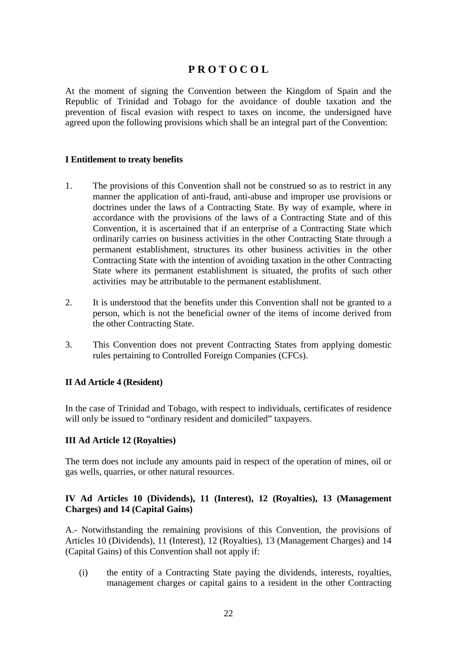# **P R O T O C O L**

At the moment of signing the Convention between the Kingdom of Spain and the Republic of Trinidad and Tobago for the avoidance of double taxation and the prevention of fiscal evasion with respect to taxes on income, the undersigned have agreed upon the following provisions which shall be an integral part of the Convention:

#### **I Entitlement to treaty benefits**

- 1. The provisions of this Convention shall not be construed so as to restrict in any manner the application of anti-fraud, anti-abuse and improper use provisions or doctrines under the laws of a Contracting State. By way of example, where in accordance with the provisions of the laws of a Contracting State and of this Convention, it is ascertained that if an enterprise of a Contracting State which ordinarily carries on business activities in the other Contracting State through a permanent establishment, structures its other business activities in the other Contracting State with the intention of avoiding taxation in the other Contracting State where its permanent establishment is situated, the profits of such other activities may be attributable to the permanent establishment.
- 2. It is understood that the benefits under this Convention shall not be granted to a person, which is not the beneficial owner of the items of income derived from the other Contracting State.
- 3. This Convention does not prevent Contracting States from applying domestic rules pertaining to Controlled Foreign Companies (CFCs).

# **II Ad Article 4 (Resident)**

In the case of Trinidad and Tobago, with respect to individuals, certificates of residence will only be issued to "ordinary resident and domiciled" taxpayers.

#### **III Ad Article 12 (Royalties)**

The term does not include any amounts paid in respect of the operation of mines, oil or gas wells, quarries, or other natural resources.

#### **IV Ad Articles 10 (Dividends), 11 (Interest), 12 (Royalties), 13 (Management Charges) and 14 (Capital Gains)**

A.- Notwithstanding the remaining provisions of this Convention, the provisions of Articles 10 (Dividends), 11 (Interest), 12 (Royalties), 13 (Management Charges) and 14 (Capital Gains) of this Convention shall not apply if:

(i) the entity of a Contracting State paying the dividends, interests, royalties, management charges or capital gains to a resident in the other Contracting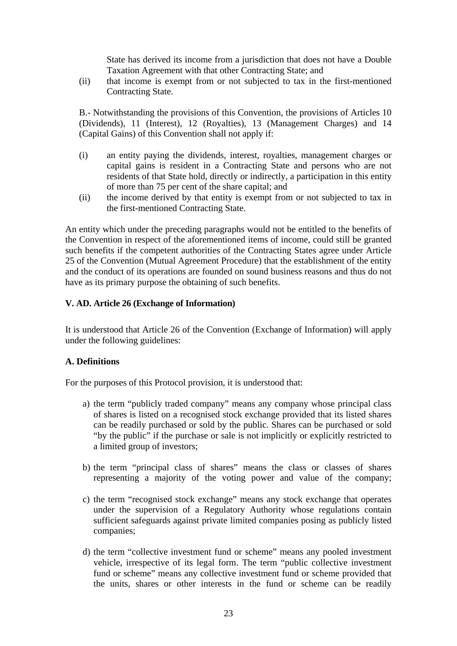State has derived its income from a jurisdiction that does not have a Double Taxation Agreement with that other Contracting State; and

(ii) that income is exempt from or not subjected to tax in the first-mentioned Contracting State.

B.- Notwithstanding the provisions of this Convention, the provisions of Articles 10 (Dividends), 11 (Interest), 12 (Royalties), 13 (Management Charges) and 14 (Capital Gains) of this Convention shall not apply if:

- (i) an entity paying the dividends, interest, royalties, management charges or capital gains is resident in a Contracting State and persons who are not residents of that State hold, directly or indirectly, a participation in this entity of more than 75 per cent of the share capital; and
- (ii) the income derived by that entity is exempt from or not subjected to tax in the first-mentioned Contracting State.

An entity which under the preceding paragraphs would not be entitled to the benefits of the Convention in respect of the aforementioned items of income, could still be granted such benefits if the competent authorities of the Contracting States agree under Article 25 of the Convention (Mutual Agreement Procedure) that the establishment of the entity and the conduct of its operations are founded on sound business reasons and thus do not have as its primary purpose the obtaining of such benefits.

# **V. AD. Article 26 (Exchange of Information)**

It is understood that Article 26 of the Convention (Exchange of Information) will apply under the following guidelines:

# **A. Definitions**

For the purposes of this Protocol provision, it is understood that:

- a) the term "publicly traded company" means any company whose principal class of shares is listed on a recognised stock exchange provided that its listed shares can be readily purchased or sold by the public. Shares can be purchased or sold "by the public" if the purchase or sale is not implicitly or explicitly restricted to a limited group of investors;
- b) the term "principal class of shares" means the class or classes of shares representing a majority of the voting power and value of the company;
- c) the term "recognised stock exchange" means any stock exchange that operates under the supervision of a Regulatory Authority whose regulations contain sufficient safeguards against private limited companies posing as publicly listed companies;
- d) the term "collective investment fund or scheme" means any pooled investment vehicle, irrespective of its legal form. The term "public collective investment fund or scheme" means any collective investment fund or scheme provided that the units, shares or other interests in the fund or scheme can be readily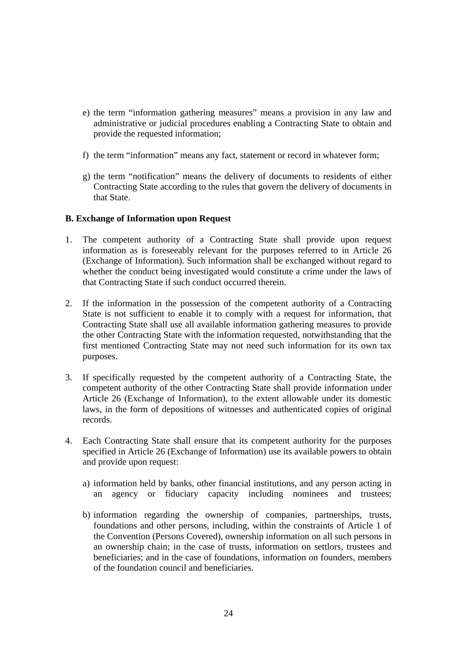- e) the term "information gathering measures" means a provision in any law and administrative or judicial procedures enabling a Contracting State to obtain and provide the requested information;
- f) the term "information" means any fact, statement or record in whatever form;
- g) the term "notification" means the delivery of documents to residents of either Contracting State according to the rules that govern the delivery of documents in that State.

#### **B. Exchange of Information upon Request**

- 1. The competent authority of a Contracting State shall provide upon request information as is foreseeably relevant for the purposes referred to in Article 26 (Exchange of Information). Such information shall be exchanged without regard to whether the conduct being investigated would constitute a crime under the laws of that Contracting State if such conduct occurred therein.
- 2. If the information in the possession of the competent authority of a Contracting State is not sufficient to enable it to comply with a request for information, that Contracting State shall use all available information gathering measures to provide the other Contracting State with the information requested, notwithstanding that the first mentioned Contracting State may not need such information for its own tax purposes.
- 3. If specifically requested by the competent authority of a Contracting State, the competent authority of the other Contracting State shall provide information under Article 26 (Exchange of Information), to the extent allowable under its domestic laws, in the form of depositions of witnesses and authenticated copies of original records.
- 4. Each Contracting State shall ensure that its competent authority for the purposes specified in Article 26 (Exchange of Information) use its available powers to obtain and provide upon request:
	- a) information held by banks, other financial institutions, and any person acting in an agency or fiduciary capacity including nominees and trustees;
	- b) information regarding the ownership of companies, partnerships, trusts, foundations and other persons, including, within the constraints of Article 1 of the Convention (Persons Covered), ownership information on all such persons in an ownership chain; in the case of trusts, information on settlors, trustees and beneficiaries; and in the case of foundations, information on founders, members of the foundation council and beneficiaries.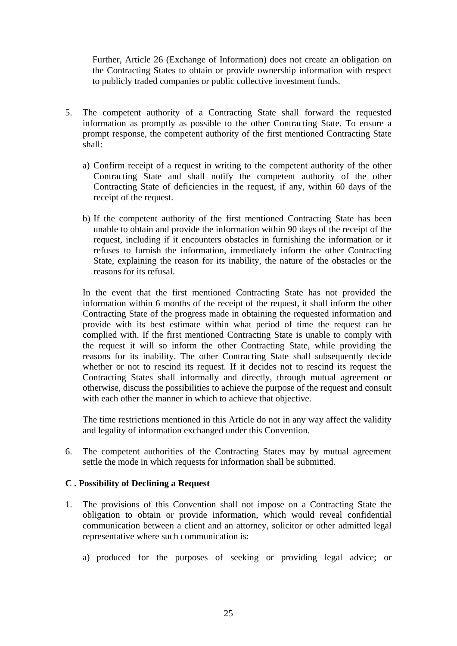Further, Article 26 (Exchange of Information) does not create an obligation on the Contracting States to obtain or provide ownership information with respect to publicly traded companies or public collective investment funds.

- 5. The competent authority of a Contracting State shall forward the requested information as promptly as possible to the other Contracting State. To ensure a prompt response, the competent authority of the first mentioned Contracting State shall:
	- a) Confirm receipt of a request in writing to the competent authority of the other Contracting State and shall notify the competent authority of the other Contracting State of deficiencies in the request, if any, within 60 days of the receipt of the request.
	- b) If the competent authority of the first mentioned Contracting State has been unable to obtain and provide the information within 90 days of the receipt of the request, including if it encounters obstacles in furnishing the information or it refuses to furnish the information, immediately inform the other Contracting State, explaining the reason for its inability, the nature of the obstacles or the reasons for its refusal.

In the event that the first mentioned Contracting State has not provided the information within 6 months of the receipt of the request, it shall inform the other Contracting State of the progress made in obtaining the requested information and provide with its best estimate within what period of time the request can be complied with. If the first mentioned Contracting State is unable to comply with the request it will so inform the other Contracting State, while providing the reasons for its inability. The other Contracting State shall subsequently decide whether or not to rescind its request. If it decides not to rescind its request the Contracting States shall informally and directly, through mutual agreement or otherwise, discuss the possibilities to achieve the purpose of the request and consult with each other the manner in which to achieve that objective.

The time restrictions mentioned in this Article do not in any way affect the validity and legality of information exchanged under this Convention.

6. The competent authorities of the Contracting States may by mutual agreement settle the mode in which requests for information shall be submitted.

#### **C . Possibility of Declining a Request**

- 1. The provisions of this Convention shall not impose on a Contracting State the obligation to obtain or provide information, which would reveal confidential communication between a client and an attorney, solicitor or other admitted legal representative where such communication is:
	- a) produced for the purposes of seeking or providing legal advice; or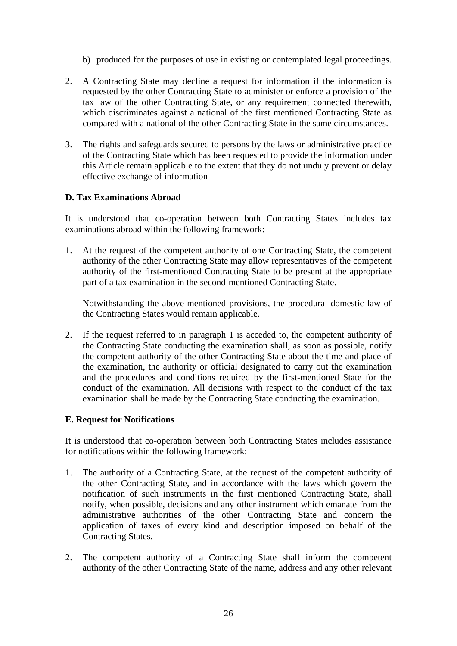- b) produced for the purposes of use in existing or contemplated legal proceedings.
- 2. A Contracting State may decline a request for information if the information is requested by the other Contracting State to administer or enforce a provision of the tax law of the other Contracting State, or any requirement connected therewith, which discriminates against a national of the first mentioned Contracting State as compared with a national of the other Contracting State in the same circumstances.
- 3. The rights and safeguards secured to persons by the laws or administrative practice of the Contracting State which has been requested to provide the information under this Article remain applicable to the extent that they do not unduly prevent or delay effective exchange of information

# **D. Tax Examinations Abroad**

It is understood that co-operation between both Contracting States includes tax examinations abroad within the following framework:

1. At the request of the competent authority of one Contracting State, the competent authority of the other Contracting State may allow representatives of the competent authority of the first-mentioned Contracting State to be present at the appropriate part of a tax examination in the second-mentioned Contracting State.

Notwithstanding the above-mentioned provisions, the procedural domestic law of the Contracting States would remain applicable.

2. If the request referred to in paragraph 1 is acceded to, the competent authority of the Contracting State conducting the examination shall, as soon as possible, notify the competent authority of the other Contracting State about the time and place of the examination, the authority or official designated to carry out the examination and the procedures and conditions required by the first-mentioned State for the conduct of the examination. All decisions with respect to the conduct of the tax examination shall be made by the Contracting State conducting the examination.

# **E. Request for Notifications**

It is understood that co-operation between both Contracting States includes assistance for notifications within the following framework:

- 1. The authority of a Contracting State, at the request of the competent authority of the other Contracting State, and in accordance with the laws which govern the notification of such instruments in the first mentioned Contracting State, shall notify, when possible, decisions and any other instrument which emanate from the administrative authorities of the other Contracting State and concern the application of taxes of every kind and description imposed on behalf of the Contracting States.
- 2. The competent authority of a Contracting State shall inform the competent authority of the other Contracting State of the name, address and any other relevant